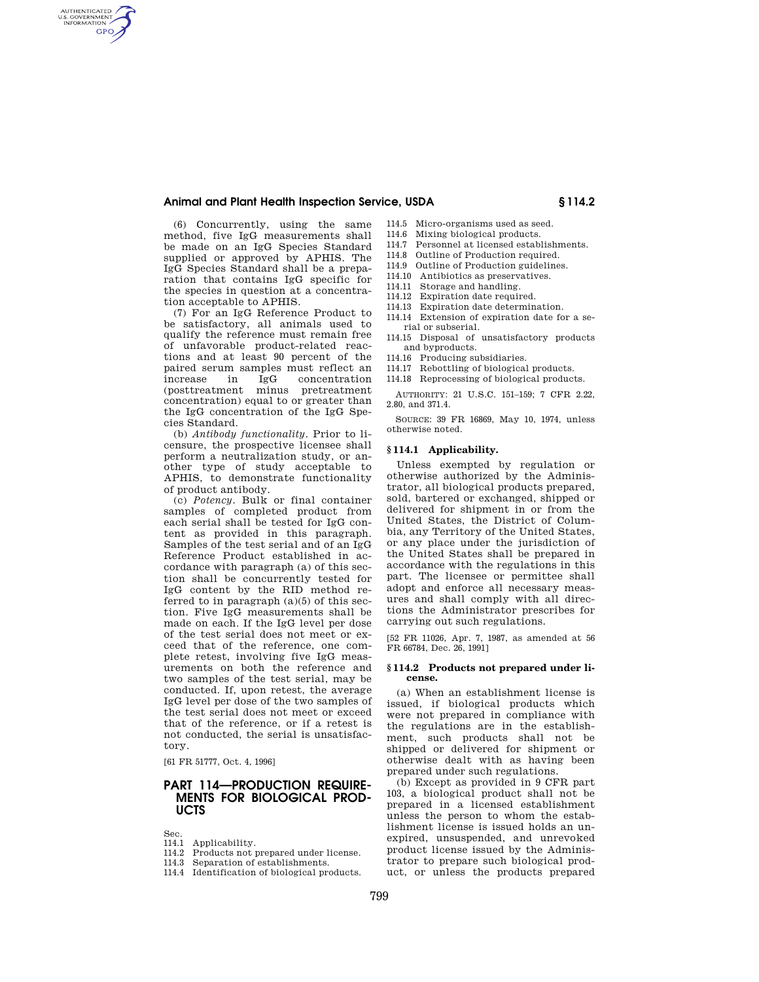## **Animal and Plant Health Inspection Service, USDA § 114.2**

(6) Concurrently, using the same method, five IgG measurements shall be made on an IgG Species Standard supplied or approved by APHIS. The IgG Species Standard shall be a preparation that contains IgG specific for the species in question at a concentration acceptable to APHIS.

AUTHENTICATED<br>U.S. GOVERNMENT<br>INFORMATION **GPO** 

> (7) For an IgG Reference Product to be satisfactory, all animals used to qualify the reference must remain free of unfavorable product-related reactions and at least 90 percent of the paired serum samples must reflect an increase in IgG concentration (posttreatment minus pretreatment concentration) equal to or greater than the IgG concentration of the IgG Species Standard.

> (b) *Antibody functionality.* Prior to licensure, the prospective licensee shall perform a neutralization study, or another type of study acceptable to APHIS, to demonstrate functionality of product antibody.

> (c) *Potency.* Bulk or final container samples of completed product from each serial shall be tested for IgG content as provided in this paragraph. Samples of the test serial and of an IgG Reference Product established in accordance with paragraph (a) of this section shall be concurrently tested for IgG content by the RID method referred to in paragraph  $(a)(5)$  of this section. Five IgG measurements shall be made on each. If the IgG level per dose of the test serial does not meet or exceed that of the reference, one complete retest, involving five IgG measurements on both the reference and two samples of the test serial, may be conducted. If, upon retest, the average IgG level per dose of the two samples of the test serial does not meet or exceed that of the reference, or if a retest is not conducted, the serial is unsatisfactory.

[61 FR 51777, Oct. 4, 1996]

# **PART 114—PRODUCTION REQUIRE-MENTS FOR BIOLOGICAL PROD-UCTS**

Sec.

- 114.1 Applicability.
- 114.2 Products not prepared under license.
- 114.3 Separation of establishments.
- 114.4 Identification of biological products.
- 114.5 Micro-organisms used as seed.
- 114.6 Mixing biological products. 114.7 Personnel at licensed establishments.
- 114.8 Outline of Production required.
- 114.9 Outline of Production guidelines.
- 114.10 Antibiotics as preservatives.
- 114.11 Storage and handling.
- 114.12 Expiration date required.
- 114.13 Expiration date determination.
- 114.14 Extension of expiration date for a serial or subserial.
- 114.15 Disposal of unsatisfactory products and byproducts.
- 114.16 Producing subsidiaries.
- 114.17 Rebottling of biological products.
- 114.18 Reprocessing of biological products.

AUTHORITY: 21 U.S.C. 151–159; 7 CFR 2.22, 2.80, and 371.4.

SOURCE: 39 FR 16869, May 10, 1974, unless otherwise noted.

### **§ 114.1 Applicability.**

Unless exempted by regulation or otherwise authorized by the Administrator, all biological products prepared, sold, bartered or exchanged, shipped or delivered for shipment in or from the United States, the District of Columbia, any Territory of the United States, or any place under the jurisdiction of the United States shall be prepared in accordance with the regulations in this part. The licensee or permittee shall adopt and enforce all necessary measures and shall comply with all directions the Administrator prescribes for carrying out such regulations.

[52 FR 11026, Apr. 7, 1987, as amended at 56 FR 66784, Dec. 26, 1991]

#### **§ 114.2 Products not prepared under license.**

(a) When an establishment license is issued, if biological products which were not prepared in compliance with the regulations are in the establishment, such products shall not be shipped or delivered for shipment or otherwise dealt with as having been prepared under such regulations.

(b) Except as provided in 9 CFR part 103, a biological product shall not be prepared in a licensed establishment unless the person to whom the establishment license is issued holds an unexpired, unsuspended, and unrevoked product license issued by the Administrator to prepare such biological product, or unless the products prepared